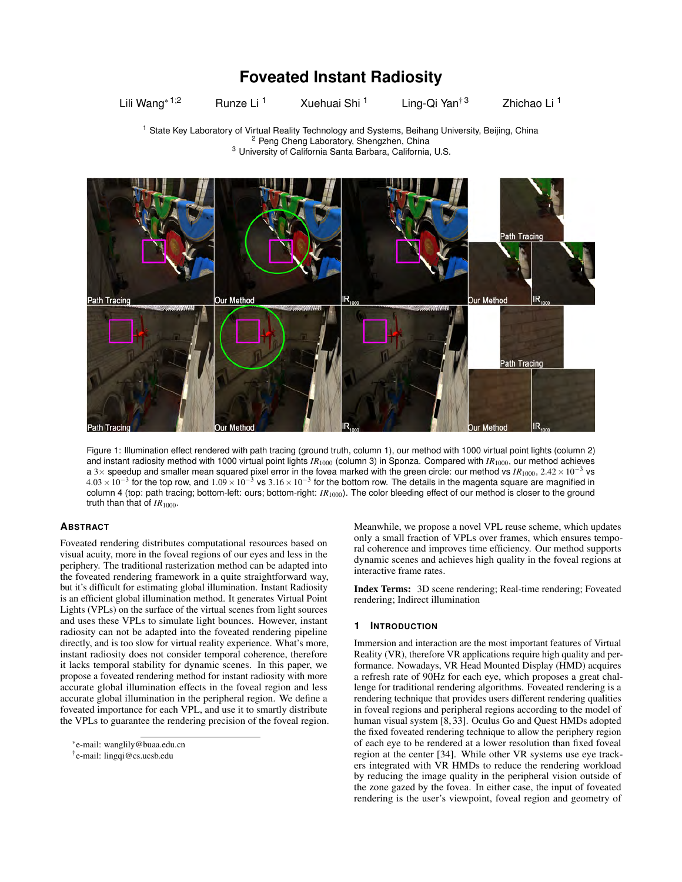# **Foveated Instant Radiosity**

Lili Wang<sup>\* 1;2</sup> Runze Li<sup>1</sup> Xuehuai Shi<sup>1</sup> Ling-Qi Yan<sup>† 3</sup> Zhichao Li<sup>1</sup>

<sup>1</sup> State Key Laboratory of Virtual Reality Technology and Systems, Beihang University, Beijing, China <sup>2</sup> Peng Cheng Laboratory, Shengzhen, China <sup>3</sup> University of California Santa Barbara, California, U.S.



<span id="page-0-0"></span>Figure 1: Illumination effect rendered with path tracing (ground truth, column 1), our method with 1000 virtual point lights (column 2) and instant radiosity method with 1000 virtual point lights *IR*<sup>1000</sup> (column 3) in Sponza. Compared with *IR*1000, our method achieves a 3× speedup and smaller mean squared pixel error in the fovea marked with the green circle: our method vs  $IR_{1000}$ , 2.42×10<sup>-3</sup> vs  $4.03\times10^{-3}$  for the top row, and  $1.09\times10^{-3}$  vs  $3.16\times10^{-3}$  for the bottom row. The details in the magenta square are magnified in column 4 (top: path tracing; bottom-left: ours; bottom-right: *IR*<sub>1000</sub>). The color bleeding effect of our method is closer to the ground truth than that of  $IR_{1000}$ .

# **ABSTRACT**

Foveated rendering distributes computational resources based on visual acuity, more in the foveal regions of our eyes and less in the periphery. The traditional rasterization method can be adapted into the foveated rendering framework in a quite straightforward way, but it's difficult for estimating global illumination. Instant Radiosity is an efficient global illumination method. It generates Virtual Point Lights (VPLs) on the surface of the virtual scenes from light sources and uses these VPLs to simulate light bounces. However, instant radiosity can not be adapted into the foveated rendering pipeline directly, and is too slow for virtual reality experience. What's more, instant radiosity does not consider temporal coherence, therefore it lacks temporal stability for dynamic scenes. In this paper, we propose a foveated rendering method for instant radiosity with more accurate global illumination effects in the foveal region and less accurate global illumination in the peripheral region. We define a foveated importance for each VPL, and use it to smartly distribute the VPLs to guarantee the rendering precision of the foveal region. Meanwhile, we propose a novel VPL reuse scheme, which updates only a small fraction of VPLs over frames, which ensures temporal coherence and improves time efficiency. Our method supports dynamic scenes and achieves high quality in the foveal regions at interactive frame rates.

Index Terms: 3D scene rendering; Real-time rendering; Foveated rendering; Indirect illumination

# **1 INTRODUCTION**

Immersion and interaction are the most important features of Virtual Reality (VR), therefore VR applications require high quality and performance. Nowadays, VR Head Mounted Display (HMD) acquires a refresh rate of 90Hz for each eye, which proposes a great challenge for traditional rendering algorithms. Foveated rendering is a rendering technique that provides users different rendering qualities in foveal regions and peripheral regions according to the model of human visual system [\[8,](#page-9-0) [33\]](#page-9-1). Oculus Go and Quest HMDs adopted the fixed foveated rendering technique to allow the periphery region of each eye to be rendered at a lower resolution than fixed foveal region at the center [\[34\]](#page-9-2). While other VR systems use eye trackers integrated with VR HMDs to reduce the rendering workload by reducing the image quality in the peripheral vision outside of the zone gazed by the fovea. In either case, the input of foveated rendering is the user's viewpoint, foveal region and geometry of

<sup>\*</sup>e-mail: wanglily@buaa.edu.cn

<sup>†</sup> e-mail: lingqi@cs.ucsb.edu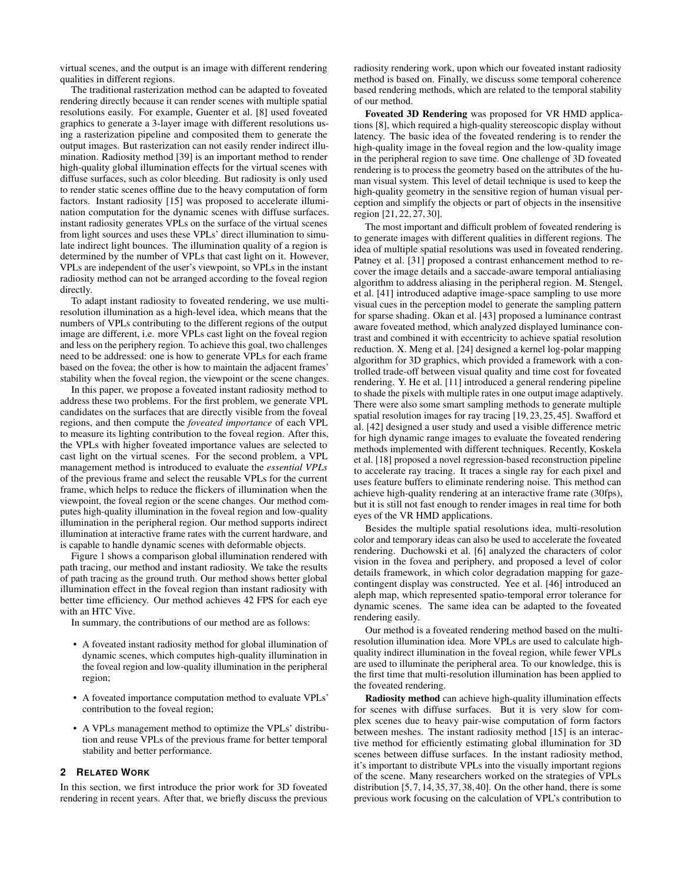virtual scenes, and the output is an image with different rendering qualities in different regions.

The traditional rasterization method can be adapted to foveated rendering directly because it can render scenes with multiple spatial resolutions easily. For example, Guenter et al. [\[8\]](#page-9-0) used foveated graphics to generate a 3-layer image with different resolutions using a rasterization pipeline and composited them to generate the output images. But rasterization can not easily render indirect illumination. Radiosity method [\[39\]](#page-9-3) is an important method to render high-quality global illumination effects for the virtual scenes with diffuse surfaces, such as color bleeding. But radiosity is only used to render static scenes offline due to the heavy computation of form factors. Instant radiosity [\[15\]](#page-9-4) was proposed to accelerate illumination computation for the dynamic scenes with diffuse surfaces. instant radiosity generates VPLs on the surface of the virtual scenes from light sources and uses these VPLs' direct illumination to simulate indirect light bounces. The illumination quality of a region is determined by the number of VPLs that cast light on it. However, VPLs are independent of the user's viewpoint, so VPLs in the instant radiosity method can not be arranged according to the foveal region directly.

To adapt instant radiosity to foveated rendering, we use multiresolution illumination as a high-level idea, which means that the numbers of VPLs contributing to the different regions of the output image are different, i.e. more VPLs cast light on the foveal region and less on the periphery region. To achieve this goal, two challenges need to be addressed: one is how to generate VPLs for each frame based on the fovea; the other is how to maintain the adjacent frames' stability when the foveal region, the viewpoint or the scene changes.

In this paper, we propose a foveated instant radiosity method to address these two problems. For the first problem, we generate VPL candidates on the surfaces that are directly visible from the foveal regions, and then compute the *foveated importance* of each VPL to measure its lighting contribution to the foveal region. After this, the VPLs with higher foveated importance values are selected to cast light on the virtual scenes. For the second problem, a VPL management method is introduced to evaluate the *essential VPLs* of the previous frame and select the reusable VPLs for the current frame, which helps to reduce the flickers of illumination when the viewpoint, the foveal region or the scene changes. Our method computes high-quality illumination in the foveal region and low-quality illumination in the peripheral region. Our method supports indirect illumination at interactive frame rates with the current hardware, and is capable to handle dynamic scenes with deformable objects.

Figure [1](#page-0-0) shows a comparison global illumination rendered with path tracing, our method and instant radiosity. We take the results of path tracing as the ground truth. Our method shows better global illumination effect in the foveal region than instant radiosity with better time efficiency. Our method achieves 42 FPS for each eye with an HTC Vive.

In summary, the contributions of our method are as follows:

- A foveated instant radiosity method for global illumination of dynamic scenes, which computes high-quality illumination in the foveal region and low-quality illumination in the peripheral region;
- A foveated importance computation method to evaluate VPLs' contribution to the foveal region;
- A VPLs management method to optimize the VPLs' distribution and reuse VPLs of the previous frame for better temporal stability and better performance.

## **2 RELATED WORK**

In this section, we first introduce the prior work for 3D foveated rendering in recent years. After that, we briefly discuss the previous radiosity rendering work, upon which our foveated instant radiosity method is based on. Finally, we discuss some temporal coherence based rendering methods, which are related to the temporal stability of our method.

Foveated 3D Rendering was proposed for VR HMD applications [\[8\]](#page-9-0), which required a high-quality stereoscopic display without latency. The basic idea of the foveated rendering is to render the high-quality image in the foveal region and the low-quality image in the peripheral region to save time. One challenge of 3D foveated rendering is to process the geometry based on the attributes of the human visual system. This level of detail technique is used to keep the high-quality geometry in the sensitive region of human visual perception and simplify the objects or part of objects in the insensitive region [\[21,](#page-9-5) [22,](#page-9-6) [27,](#page-9-7) [30\]](#page-9-8).

The most important and difficult problem of foveated rendering is to generate images with different qualities in different regions. The idea of multiple spatial resolutions was used in foveated rendering. Patney et al. [\[31\]](#page-9-9) proposed a contrast enhancement method to recover the image details and a saccade-aware temporal antialiasing algorithm to address aliasing in the peripheral region. M. Stengel, et al. [\[41\]](#page-9-10) introduced adaptive image-space sampling to use more visual cues in the perception model to generate the sampling pattern for sparse shading. Okan et al. [\[43\]](#page-9-11) proposed a luminance contrast aware foveated method, which analyzed displayed luminance contrast and combined it with eccentricity to achieve spatial resolution reduction. X. Meng et al. [\[24\]](#page-9-12) designed a kernel log-polar mapping algorithm for 3D graphics, which provided a framework with a controlled trade-off between visual quality and time cost for foveated rendering. Y. He et al. [\[11\]](#page-9-13) introduced a general rendering pipeline to shade the pixels with multiple rates in one output image adaptively. There were also some smart sampling methods to generate multiple spatial resolution images for ray tracing [\[19,](#page-9-14) [23,](#page-9-15) [25,](#page-9-16) [45\]](#page-10-0). Swafford et al. [\[42\]](#page-9-17) designed a user study and used a visible difference metric for high dynamic range images to evaluate the foveated rendering methods implemented with different techniques. Recently, Koskela et al. [\[18\]](#page-9-18) proposed a novel regression-based reconstruction pipeline to accelerate ray tracing. It traces a single ray for each pixel and uses feature buffers to eliminate rendering noise. This method can achieve high-quality rendering at an interactive frame rate (30fps), but it is still not fast enough to render images in real time for both eyes of the VR HMD applications.

Besides the multiple spatial resolutions idea, multi-resolution color and temporary ideas can also be used to accelerate the foveated rendering. Duchowski et al. [\[6\]](#page-9-19) analyzed the characters of color vision in the fovea and periphery, and proposed a level of color details framework, in which color degradation mapping for gazecontingent display was constructed. Yee et al. [\[46\]](#page-10-1) introduced an aleph map, which represented spatio-temporal error tolerance for dynamic scenes. The same idea can be adapted to the foveated rendering easily.

Our method is a foveated rendering method based on the multiresolution illumination idea. More VPLs are used to calculate highquality indirect illumination in the foveal region, while fewer VPLs are used to illuminate the peripheral area. To our knowledge, this is the first time that multi-resolution illumination has been applied to the foveated rendering.

Radiosity method can achieve high-quality illumination effects for scenes with diffuse surfaces. But it is very slow for complex scenes due to heavy pair-wise computation of form factors between meshes. The instant radiosity method [\[15\]](#page-9-4) is an interactive method for efficiently estimating global illumination for 3D scenes between diffuse surfaces. In the instant radiosity method, it's important to distribute VPLs into the visually important regions of the scene. Many researchers worked on the strategies of VPLs distribution [\[5,](#page-9-20) [7,](#page-9-21) [14,](#page-9-22) [35,](#page-9-23) [37,](#page-9-24) [38,](#page-9-25) [40\]](#page-9-26). On the other hand, there is some previous work focusing on the calculation of VPL's contribution to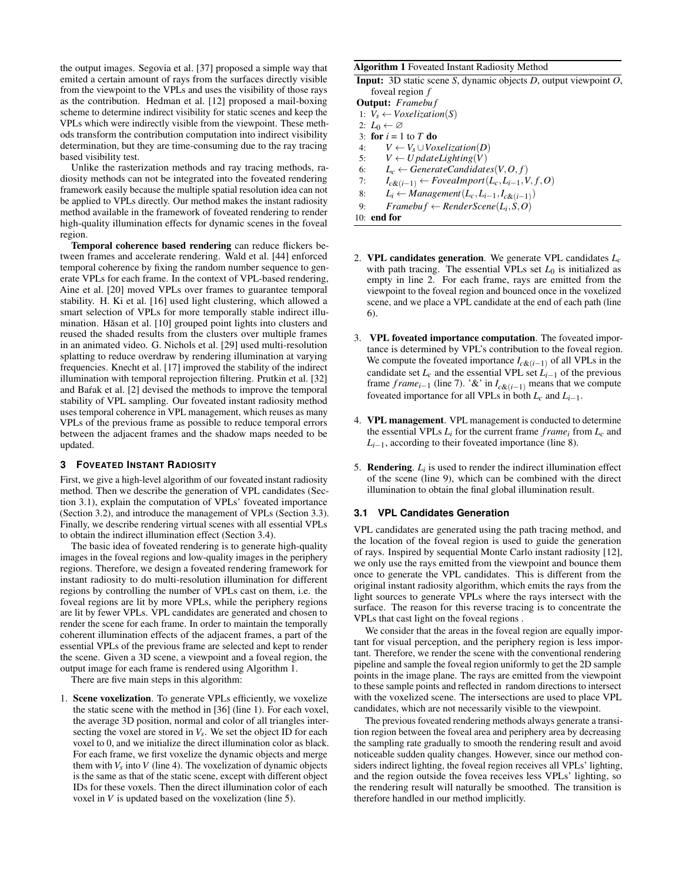the output images. Segovia et al. [\[37\]](#page-9-24) proposed a simple way that emited a certain amount of rays from the surfaces directly visible from the viewpoint to the VPLs and uses the visibility of those rays as the contribution. Hedman et al. [\[12\]](#page-9-27) proposed a mail-boxing scheme to determine indirect visibility for static scenes and keep the VPLs which were indirectly visible from the viewpoint. These methods transform the contribution computation into indirect visibility determination, but they are time-consuming due to the ray tracing based visibility test.

Unlike the rasterization methods and ray tracing methods, radiosity methods can not be integrated into the foveated rendering framework easily because the multiple spatial resolution idea can not be applied to VPLs directly. Our method makes the instant radiosity method available in the framework of foveated rendering to render high-quality illumination effects for dynamic scenes in the foveal region.

Temporal coherence based rendering can reduce flickers between frames and accelerate rendering. Wald et al. [\[44\]](#page-10-2) enforced temporal coherence by fixing the random number sequence to generate VPLs for each frame. In the context of VPL-based rendering, Aine et al. [\[20\]](#page-9-28) moved VPLs over frames to guarantee temporal stability. H. Ki et al. [\[16\]](#page-9-29) used light clustering, which allowed a smart selection of VPLs for more temporally stable indirect illu-mination. Hăsan et al. [\[10\]](#page-9-30) grouped point lights into clusters and reused the shaded results from the clusters over multiple frames in an animated video. G. Nichols et al. [\[29\]](#page-9-31) used multi-resolution splatting to reduce overdraw by rendering illumination at varying frequencies. Knecht et al. [\[17\]](#page-9-32) improved the stability of the indirect illumination with temporal reprojection filtering. Prutkin et al. [\[32\]](#page-9-33) and Bafak et al. [\[2\]](#page-9-34) devised the methods to improve the temporal stability of VPL sampling. Our foveated instant radiosity method uses temporal coherence in VPL management, which reuses as many VPLs of the previous frame as possible to reduce temporal errors between the adjacent frames and the shadow maps needed to be updated.

# **3 FOVEATED INSTANT RADIOSITY**

First, we give a high-level algorithm of our foveated instant radiosity method. Then we describe the generation of VPL candidates (Section [3.1\)](#page-2-0), explain the computation of VPLs' foveated importance (Section [3.2\)](#page-3-0), and introduce the management of VPLs (Section [3.3\)](#page-3-1). Finally, we describe rendering virtual scenes with all essential VPLs to obtain the indirect illumination effect (Section [3.4\)](#page-4-0).

The basic idea of foveated rendering is to generate high-quality images in the foveal regions and low-quality images in the periphery regions. Therefore, we design a foveated rendering framework for instant radiosity to do multi-resolution illumination for different regions by controlling the number of VPLs cast on them, i.e. the foveal regions are lit by more VPLs, while the periphery regions are lit by fewer VPLs. VPL candidates are generated and chosen to render the scene for each frame. In order to maintain the temporally coherent illumination effects of the adjacent frames, a part of the essential VPLs of the previous frame are selected and kept to render the scene. Given a 3D scene, a viewpoint and a foveal region, the output image for each frame is rendered using Algorithm [1.](#page-2-1)

There are five main steps in this algorithm:

1. Scene voxelization. To generate VPLs efficiently, we voxelize the static scene with the method in [\[36\]](#page-9-35) (line 1). For each voxel, the average 3D position, normal and color of all triangles intersecting the voxel are stored in  $V_s$ . We set the object ID for each voxel to 0, and we initialize the direct illumination color as black. For each frame, we first voxelize the dynamic objects and merge them with  $V_s$  into  $V$  (line 4). The voxelization of dynamic objects is the same as that of the static scene, except with different object IDs for these voxels. Then the direct illumination color of each voxel in *V* is updated based on the voxelization (line 5).

#### <span id="page-2-1"></span>Algorithm 1 Foveated Instant Radiosity Method

|                 |  |  | <b>Input:</b> 3D static scene S, dynamic objects $D$ , output viewpoint $O$ , |  |
|-----------------|--|--|-------------------------------------------------------------------------------|--|
| foveal region f |  |  |                                                                               |  |

| <b>Output:</b> Framebuf                                                     |
|-----------------------------------------------------------------------------|
| 1: $V_s \leftarrow Voxelization(S)$                                         |
| 2: $L_0 \leftarrow \varnothing$                                             |
| 3: for $i = 1$ to T do                                                      |
| $V \leftarrow V_s \cup V$<br>4:                                             |
| $V \leftarrow U$ pdateLighting(V)<br>5:                                     |
| $L_c \leftarrow$ GenerateCandidates(V, O, f)<br>6:                          |
| $I_{c\&(i-1)} \leftarrow \textit{Fovealmport}(L_c, L_{i-1}, V, f, O)$<br>7: |
| $L_i \leftarrow Management(L_c, L_{i-1}, I_{c\&(i-1)})$<br>8:               |
| $Framebuf \leftarrow RenderSeen (L_i, S, O)$<br>9:                          |
| end for<br>10 <sup>.</sup>                                                  |

- 2. VPL candidates generation. We generate VPL candidates *Lc* with path tracing. The essential VPLs set  $L_0$  is initialized as empty in line 2. For each frame, rays are emitted from the viewpoint to the foveal region and bounced once in the voxelized scene, and we place a VPL candidate at the end of each path (line 6).
- 3. VPL foveated importance computation. The foveated importance is determined by VPL's contribution to the foveal region. We compute the foveated importance  $I_{c\&(i-1)}$  of all VPLs in the candidate set  $L_c$  and the essential VPL set  $L<sub>i-1</sub>$  of the previous frame *frame*<sub>*i*−1</sub> (line 7). '&' in  $I_{c&(i-1)}$  means that we compute foveated importance for all VPLs in both  $L_c$  and  $L_{i-1}$ .
- 4. VPL management. VPL management is conducted to determine the essential VPLs  $L_i$  for the current frame  $frame_i$  from  $L_c$  and  $L_{i-1}$ , according to their foveated importance (line 8).
- 5. **Rendering**.  $L_i$  is used to render the indirect illumination effect of the scene (line 9), which can be combined with the direct illumination to obtain the final global illumination result.

## <span id="page-2-0"></span>**3.1 VPL Candidates Generation**

VPL candidates are generated using the path tracing method, and the location of the foveal region is used to guide the generation of rays. Inspired by sequential Monte Carlo instant radiosity [\[12\]](#page-9-27), we only use the rays emitted from the viewpoint and bounce them once to generate the VPL candidates. This is different from the original instant radiosity algorithm, which emits the rays from the light sources to generate VPLs where the rays intersect with the surface. The reason for this reverse tracing is to concentrate the VPLs that cast light on the foveal regions .

We consider that the areas in the foveal region are equally important for visual perception, and the periphery region is less important. Therefore, we render the scene with the conventional rendering pipeline and sample the foveal region uniformly to get the 2D sample points in the image plane. The rays are emitted from the viewpoint to these sample points and reflected in random directions to intersect with the voxelized scene. The intersections are used to place VPL candidates, which are not necessarily visible to the viewpoint.

The previous foveated rendering methods always generate a transition region between the foveal area and periphery area by decreasing the sampling rate gradually to smooth the rendering result and avoid noticeable sudden quality changes. However, since our method considers indirect lighting, the foveal region receives all VPLs' lighting, and the region outside the fovea receives less VPLs' lighting, so the rendering result will naturally be smoothed. The transition is therefore handled in our method implicitly.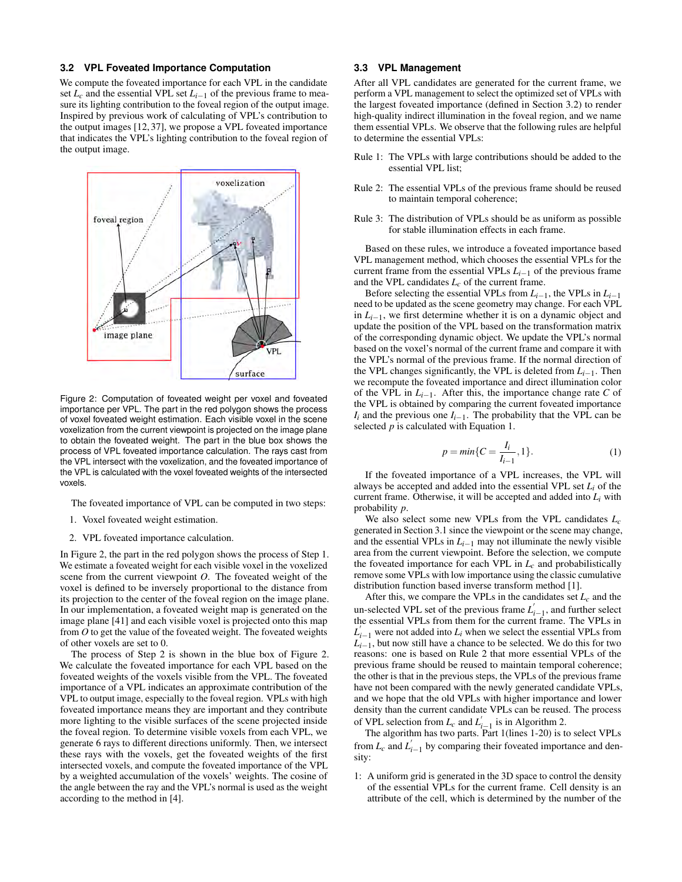## <span id="page-3-0"></span>**3.2 VPL Foveated Importance Computation**

We compute the foveated importance for each VPL in the candidate set  $L_c$  and the essential VPL set  $L_{i-1}$  of the previous frame to measure its lighting contribution to the foveal region of the output image. Inspired by previous work of calculating of VPL's contribution to the output images [\[12,](#page-9-27) [37\]](#page-9-24), we propose a VPL foveated importance that indicates the VPL's lighting contribution to the foveal region of the output image.



<span id="page-3-2"></span>Figure 2: Computation of foveated weight per voxel and foveated importance per VPL. The part in the red polygon shows the process of voxel foveated weight estimation. Each visible voxel in the scene voxelization from the current viewpoint is projected on the image plane to obtain the foveated weight. The part in the blue box shows the process of VPL foveated importance calculation. The rays cast from the VPL intersect with the voxelization, and the foveated importance of the VPL is calculated with the voxel foveated weights of the intersected voxels.

The foveated importance of VPL can be computed in two steps:

- 1. Voxel foveated weight estimation.
- 2. VPL foveated importance calculation.

In Figure [2,](#page-3-2) the part in the red polygon shows the process of Step 1. We estimate a foveated weight for each visible voxel in the voxelized scene from the current viewpoint *O*. The foveated weight of the voxel is defined to be inversely proportional to the distance from its projection to the center of the foveal region on the image plane. In our implementation, a foveated weight map is generated on the image plane [\[41\]](#page-9-10) and each visible voxel is projected onto this map from *O* to get the value of the foveated weight. The foveated weights of other voxels are set to 0.

The process of Step 2 is shown in the blue box of Figure [2.](#page-3-2) We calculate the foveated importance for each VPL based on the foveated weights of the voxels visible from the VPL. The foveated importance of a VPL indicates an approximate contribution of the VPL to output image, especially to the foveal region. VPLs with high foveated importance means they are important and they contribute more lighting to the visible surfaces of the scene projected inside the foveal region. To determine visible voxels from each VPL, we generate 6 rays to different directions uniformly. Then, we intersect these rays with the voxels, get the foveated weights of the first intersected voxels, and compute the foveated importance of the VPL by a weighted accumulation of the voxels' weights. The cosine of the angle between the ray and the VPL's normal is used as the weight according to the method in [\[4\]](#page-9-36).

# <span id="page-3-1"></span>**3.3 VPL Management**

After all VPL candidates are generated for the current frame, we perform a VPL management to select the optimized set of VPLs with the largest foveated importance (defined in Section [3.2\)](#page-3-0) to render high-quality indirect illumination in the foveal region, and we name them essential VPLs. We observe that the following rules are helpful to determine the essential VPLs:

- Rule 1: The VPLs with large contributions should be added to the essential VPL list;
- Rule 2: The essential VPLs of the previous frame should be reused to maintain temporal coherence;
- Rule 3: The distribution of VPLs should be as uniform as possible for stable illumination effects in each frame.

Based on these rules, we introduce a foveated importance based VPL management method, which chooses the essential VPLs for the current frame from the essential VPLs *Li*−<sup>1</sup> of the previous frame and the VPL candidates *Lc* of the current frame.

Before selecting the essential VPLs from  $L_{i-1}$ , the VPLs in  $L_{i-1}$ need to be updated as the scene geometry may change. For each VPL in *Li*−1, we first determine whether it is on a dynamic object and update the position of the VPL based on the transformation matrix of the corresponding dynamic object. We update the VPL's normal based on the voxel's normal of the current frame and compare it with the VPL's normal of the previous frame. If the normal direction of the VPL changes significantly, the VPL is deleted from *Li*−1. Then we recompute the foveated importance and direct illumination color of the VPL in *Li*−1. After this, the importance change rate *C* of the VPL is obtained by comparing the current foveated importance  $I_i$  and the previous one  $I_{i-1}$ . The probability that the VPL can be selected *p* is calculated with Equation [1.](#page-3-3)

<span id="page-3-3"></span>
$$
p = \min\{C = \frac{I_i}{I_{i-1}}, 1\}.
$$
 (1)

If the foveated importance of a VPL increases, the VPL will always be accepted and added into the essential VPL set *Li* of the current frame. Otherwise, it will be accepted and added into *Li* with probability *p*.

We also select some new VPLs from the VPL candidates *Lc* generated in Section [3.1](#page-2-0) since the viewpoint or the scene may change, and the essential VPLs in  $L_{i-1}$  may not illuminate the newly visible area from the current viewpoint. Before the selection, we compute the foveated importance for each VPL in  $L_c$  and probabilistically remove some VPLs with low importance using the classic cumulative distribution function based inverse transform method [\[1\]](#page-9-37).

After this, we compare the VPLs in the candidates set  $L_c$  and the un-selected VPL set of the previous frame  $L'_{i-1}$ , and further select the essential VPLs from them for the current frame. The VPLs in  $L_{i-1}$  were not added into  $L_i$  when we select the essential VPLs from  $L_{i-1}$ , but now still have a chance to be selected. We do this for two reasons: one is based on Rule 2 that more essential VPLs of the previous frame should be reused to maintain temporal coherence; the other is that in the previous steps, the VPLs of the previous frame have not been compared with the newly generated candidate VPLs, and we hope that the old VPLs with higher importance and lower density than the current candidate VPLs can be reused. The process of VPL selection from  $L_c$  and  $L'_{i-1}$  is in Algorithm [2.](#page-4-1)

The algorithm has two parts. Part 1(lines 1-20) is to select VPLs from  $L_c$  and  $L'_{i-1}$  by comparing their foveated importance and density:

1: A uniform grid is generated in the 3D space to control the density of the essential VPLs for the current frame. Cell density is an attribute of the cell, which is determined by the number of the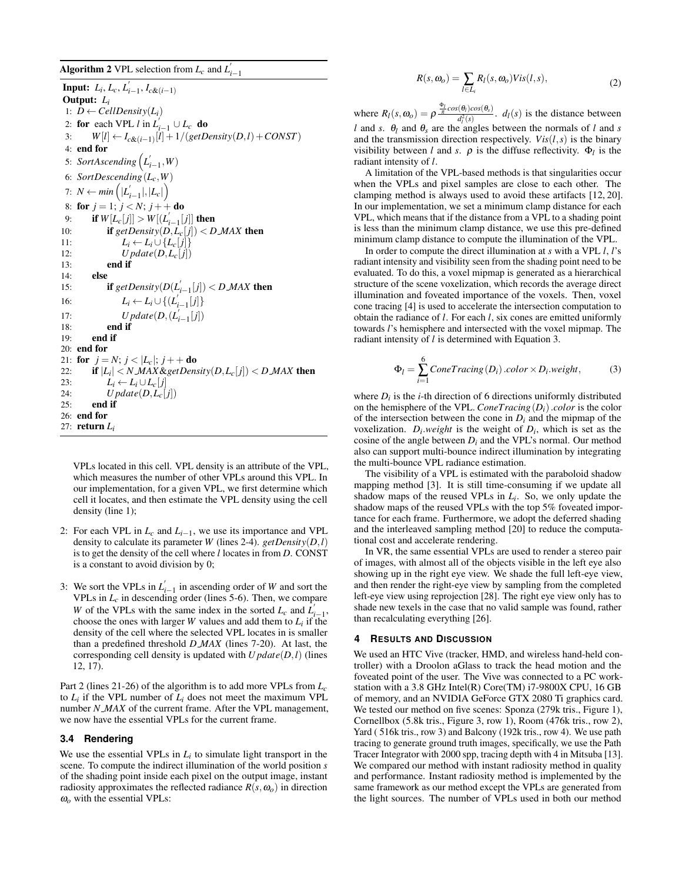<span id="page-4-1"></span>Algorithm 2 VPL selection from  $L_c$  and  $L'_{i-1}$ 

**Input:**  $L_i, L_c, L'_{i-1}, I_{c\&(i-1)}$ Output: *Li* 1:  $D \leftarrow \text{CellDensity}(L_i)$ 2: **for** each VPL *l* in  $L_{i-1}' \cup L_c$  **do** 3:  $W[l] \leftarrow I_{c\&(i-1)}[l] + 1/(getDensity(D, l) + CONST)$ 4: end for 5: *SortAscending*  $(L'_{i-1}, W)$ 6: *SortDescending*(*Lc*,*W*) 7:  $N \leftarrow min\left(|L'_{i-1}|,|L_c|\right)$ 8: for  $j = 1$ ;  $j < N$ ;  $j + +$  do 9: **if**  $W[L_c[j]] > W[(L'_{i-1}[j]]$  then 10: **if**  $\text{getDensity}(D, L_c[j]) < D \text{.} \text{MAX}$  then 11:  $L_i \leftarrow L_i \cup \{L_c[j]\}$ <br>12:  $Update(D, L_c[j])$ 12:  $Update(D, L_c[j])$ <br>13: **end if** end if 14: else 15: **if**  $\text{getDensity}(D(L'_{i-1}[j]) < D \text{.} MAX \text{ then}$ 16:  $L_i \leftarrow L_i \cup \{ (L'_{i-1}[j] \}$ 17: *Update*( $D$ ,  $(L'_{i-1}[j])$ 18: end if 19: end if 20: end for 21: **for**  $j = N$ ;  $j < |L_c|$ ;  $j + 4$ **do** 22: **if**  $|L_i| < N$  *MAX* & getDensity  $(D, L_c[j]) < D$  *MAX* then 23:  $L_i \leftarrow L_i \cup L_c[j]$ 24: *U pdate*(*D*,*Lc*[ *j*]) 25: end if 26: end for 27: return *Li*

VPLs located in this cell. VPL density is an attribute of the VPL, which measures the number of other VPLs around this VPL. In our implementation, for a given VPL, we first determine which cell it locates, and then estimate the VPL density using the cell density (line 1);

- 2: For each VPL in  $L_c$  and  $L_{i-1}$ , we use its importance and VPL density to calculate its parameter *W* (lines 2-4). *getDensity*(*D*,*l*) is to get the density of the cell where *l* locates in from *D*. CONST is a constant to avoid division by 0;
- 3: We sort the VPLs in  $L'_{i-1}$  in ascending order of *W* and sort the VPLs in  $L_c$  in descending order (lines 5-6). Then, we compare *W* of the VPLs with the same index in the sorted  $L_c$  and  $\overline{L}_{i-1}$ , choose the ones with larger  $W$  values and add them to  $L_i$  if the density of the cell where the selected VPL locates in is smaller than a predefined threshold *D MAX* (lines 7-20). At last, the corresponding cell density is updated with *U pdate*(*D*,*l*) (lines 12, 17).

Part 2 (lines 21-26) of the algorithm is to add more VPLs from *Lc* to  $L_i$  if the VPL number of  $L_i$  does not meet the maximum VPL number *N MAX* of the current frame. After the VPL management, we now have the essential VPLs for the current frame.

## <span id="page-4-0"></span>**3.4 Rendering**

We use the essential VPLs in  $L_i$  to simulate light transport in the scene. To compute the indirect illumination of the world position *s* of the shading point inside each pixel on the output image, instant radiosity approximates the reflected radiance  $R(s, \omega_o)$  in direction ω*o* with the essential VPLs:

$$
R(s, \omega_o) = \sum_{l \in L_i} R_l(s, \omega_o) Vis(l, s), \qquad (2)
$$

where  $R_l(s, \omega_o) = \rho \frac{\frac{\Phi_l}{\pi} cos(\theta_l) cos(\theta_s)}{d^2(s)}$  $\frac{d_l(x)}{dt}$ ,  $d_l(s)$  is the distance between *l* and *s*.  $\theta_l$  and  $\theta_s$  are the angles between the normals of *l* and *s* and the transmission direction respectively.  $Vis(l, s)$  is the binary visibility between *l* and *s*.  $\rho$  is the diffuse reflectivity.  $\Phi_l$  is the radiant intensity of *l*.

A limitation of the VPL-based methods is that singularities occur when the VPLs and pixel samples are close to each other. The clamping method is always used to avoid these artifacts [\[12,](#page-9-27) [20\]](#page-9-28). In our implementation, we set a minimum clamp distance for each VPL, which means that if the distance from a VPL to a shading point is less than the minimum clamp distance, we use this pre-defined minimum clamp distance to compute the illumination of the VPL.

In order to compute the direct illumination at *s* with a VPL *l*, *l*'s radiant intensity and visibility seen from the shading point need to be evaluated. To do this, a voxel mipmap is generated as a hierarchical structure of the scene voxelization, which records the average direct illumination and foveated importance of the voxels. Then, voxel cone tracing [\[4\]](#page-9-36) is used to accelerate the intersection computation to obtain the radiance of *l*. For each *l*, six cones are emitted uniformly towards *l*'s hemisphere and intersected with the voxel mipmap. The radiant intensity of *l* is determined with Equation [3.](#page-4-2)

<span id="page-4-2"></span>
$$
\Phi_l = \sum_{i=1}^{6} ConeTracing(D_i).color \times D_i.weight,
$$
\n(3)

where  $D_i$  is the *i*-th direction of 6 directions uniformly distributed on the hemisphere of the VPL. *ConeTracing*(*Di*).*color* is the color of the intersection between the cone in  $D_i$  and the mipmap of the voxelization.  $D_i$  *weight* is the weight of  $D_i$ , which is set as the cosine of the angle between  $D_i$  and the VPL's normal. Our method also can support multi-bounce indirect illumination by integrating the multi-bounce VPL radiance estimation.

The visibility of a VPL is estimated with the paraboloid shadow mapping method [\[3\]](#page-9-38). It is still time-consuming if we update all shadow maps of the reused VPLs in  $L_i$ . So, we only update the shadow maps of the reused VPLs with the top 5% foveated importance for each frame. Furthermore, we adopt the deferred shading and the interleaved sampling method [\[20\]](#page-9-28) to reduce the computational cost and accelerate rendering.

In VR, the same essential VPLs are used to render a stereo pair of images, with almost all of the objects visible in the left eye also showing up in the right eye view. We shade the full left-eye view, and then render the right-eye view by sampling from the completed left-eye view using reprojection [\[28\]](#page-9-39). The right eye view only has to shade new texels in the case that no valid sample was found, rather than recalculating everything [\[26\]](#page-9-40).

#### **4 RESULTS AND DISCUSSION**

We used an HTC Vive (tracker, HMD, and wireless hand-held controller) with a Droolon aGlass to track the head motion and the foveated point of the user. The Vive was connected to a PC workstation with a 3.8 GHz Intel(R) Core(TM) i7-9800X CPU, 16 GB of memory, and an NVIDIA GeForce GTX 2080 Ti graphics card. We tested our method on five scenes: Sponza (279k tris., Figure [1\)](#page-0-0), Cornellbox (5.8k tris., Figure [3,](#page-5-0) row 1), Room (476k tris., row 2), Yard (516k tris., row 3) and Balcony (192k tris., row 4). We use path tracing to generate ground truth images, specifically, we use the Path Tracer Integrator with 2000 spp, tracing depth with 4 in Mitsuba [\[13\]](#page-9-41). We compared our method with instant radiosity method in quality and performance. Instant radiosity method is implemented by the same framework as our method except the VPLs are generated from the light sources. The number of VPLs used in both our method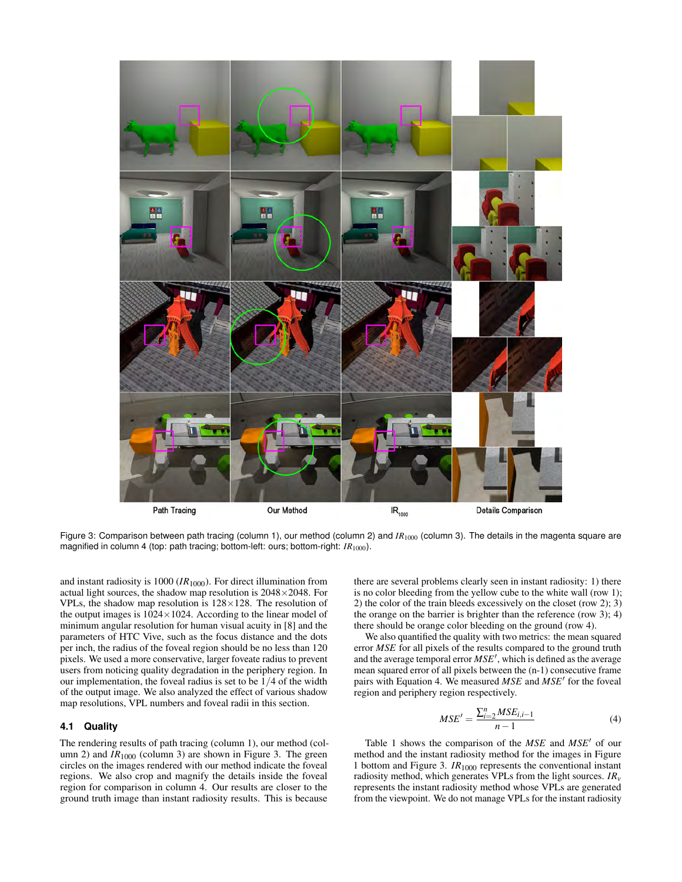

<span id="page-5-0"></span>Figure 3: Comparison between path tracing (column 1), our method (column 2) and *IR<sub>1000</sub>* (column 3). The details in the magenta square are magnified in column 4 (top: path tracing; bottom-left: ours; bottom-right:  $IR<sub>1000</sub>$ ).

and instant radiosity is  $1000$  ( $IR<sub>1000</sub>$ ). For direct illumination from actual light sources, the shadow map resolution is 2048×2048. For VPLs, the shadow map resolution is  $128 \times 128$ . The resolution of the output images is  $1024 \times 1024$ . According to the linear model of minimum angular resolution for human visual acuity in [\[8\]](#page-9-0) and the parameters of HTC Vive, such as the focus distance and the dots per inch, the radius of the foveal region should be no less than 120 pixels. We used a more conservative, larger foveate radius to prevent users from noticing quality degradation in the periphery region. In our implementation, the foveal radius is set to be 1/4 of the width of the output image. We also analyzed the effect of various shadow map resolutions, VPL numbers and foveal radii in this section.

### **4.1 Quality**

The rendering results of path tracing (column 1), our method (column 2) and  $IR<sub>1000</sub>$  (column 3) are shown in Figure [3.](#page-5-0) The green circles on the images rendered with our method indicate the foveal regions. We also crop and magnify the details inside the foveal region for comparison in column 4. Our results are closer to the ground truth image than instant radiosity results. This is because

there are several problems clearly seen in instant radiosity: 1) there is no color bleeding from the yellow cube to the white wall (row 1); 2) the color of the train bleeds excessively on the closet (row 2); 3) the orange on the barrier is brighter than the reference (row 3); 4) there should be orange color bleeding on the ground (row 4).

We also quantified the quality with two metrics: the mean squared error *MSE* for all pixels of the results compared to the ground truth and the average temporal error  $MSE'$ , which is defined as the average mean squared error of all pixels between the (n-1) consecutive frame pairs with Equation [4.](#page-5-1) We measured MSE and MSE<sup>'</sup> for the foveal region and periphery region respectively.

<span id="page-5-1"></span>
$$
MSE' = \frac{\sum_{i=2}^{n} MSE_{i,i-1}}{n-1}
$$
 (4)

Table [1](#page-6-0) shows the comparison of the *MSE* and *MSE*<sup> $\prime$ </sup> of our method and the instant radiosity method for the images in Figure [1](#page-0-0) bottom and Figure [3.](#page-5-0) *IR*<sup>1000</sup> represents the conventional instant radiosity method, which generates VPLs from the light sources. *IRv* represents the instant radiosity method whose VPLs are generated from the viewpoint. We do not manage VPLs for the instant radiosity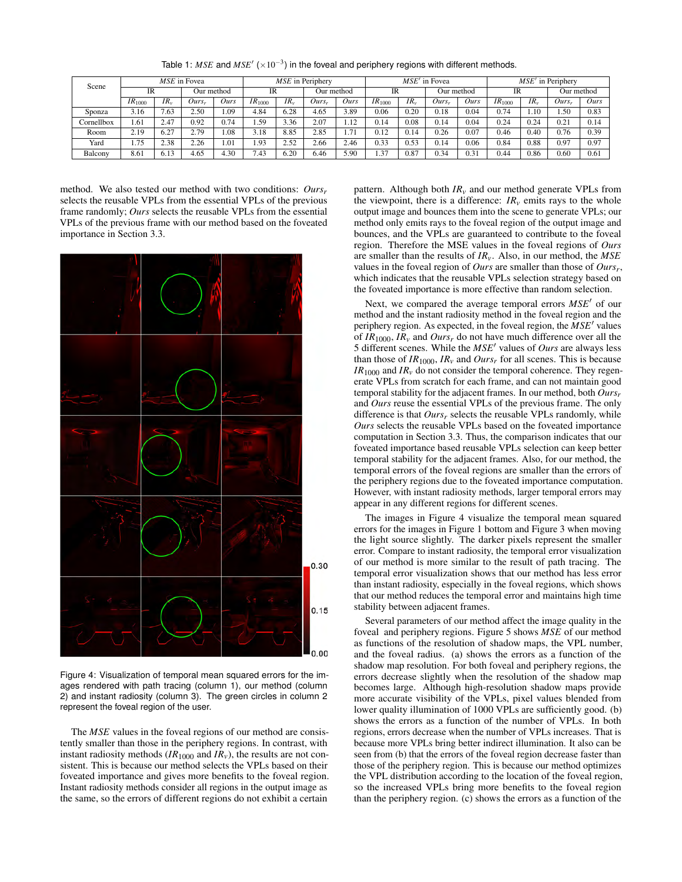| Scene      | MSE in Fovea       |          |                   |               | MSE in Periphery   |          |                   |      | $MSE'$ in Fovea    |          |            |      | $MSE'$ in Periphery |          |            |      |
|------------|--------------------|----------|-------------------|---------------|--------------------|----------|-------------------|------|--------------------|----------|------------|------|---------------------|----------|------------|------|
|            | IR                 |          | Our method        |               | <b>IR</b>          |          | Our method        |      | <b>IR</b>          |          | Our method |      | <b>IR</b>           |          | Our method |      |
|            | IR <sub>1000</sub> | $IR_{v}$ | Ours <sub>r</sub> | Ours          | IR <sub>1000</sub> | $IR_{v}$ | Ours <sub>r</sub> | Ours | IR <sub>1000</sub> | $IR_{v}$ | $Ours_r$   | Ours | IR <sub>1000</sub>  | $IR_{v}$ | $Ours_r$   | Ours |
| Sponza     | 3.16               | 1.63     | 2.50              | <sup>09</sup> | 4.84               | 6.28     | 4.65              | 3.89 | 0.06               | 0.20     | 0.18       | 0.04 | 0.74                | .10      | l.50       | 0.83 |
| Cornellbox | .61                | 2.47     | 0.92              | 0.74          | .59                | 3.36     | 2.07              | 1.12 | 0.14               | 0.08     | 0.14       | 0.04 | 0.24                | 0.24     | 0.21       | 0.14 |
| Room       | 2.19               | 6.27     | 2.79              | 1.08          | 3.18               | 8.85     | 2.85              | 1.71 | 0.12               | 0.14     | 0.26       | 0.07 | 0.46                | 0.40     | 0.76       | 0.39 |
| Yard       | 1.75               | 2.38     | 2.26              | 1.01          | .93                | 2.52     | 2.66              | 2.46 | 0.33               | 0.53     | 0.14       | 0.06 | 0.84                | 0.88     | 0.97       | 0.97 |
| Balcony    | 8.61               | 6.13     | 4.65              | 4.30          | 7.43               | 6.20     | 6.46              | 5.90 | 1.37               | 0.87     | 0.34       | 0.31 | 0.44                | 0.86     | 0.60       | 0.61 |

<span id="page-6-0"></span>Table 1:  $MSE$  and  $MSE'$   $(\times 10^{-3})$  in the foveal and periphery regions with different methods.

method. We also tested our method with two conditions: *Oursr* selects the reusable VPLs from the essential VPLs of the previous frame randomly; *Ours* selects the reusable VPLs from the essential VPLs of the previous frame with our method based on the foveated importance in Section [3.3.](#page-3-1)



<span id="page-6-1"></span>Figure 4: Visualization of temporal mean squared errors for the images rendered with path tracing (column 1), our method (column 2) and instant radiosity (column 3). The green circles in column 2 represent the foveal region of the user.

The *MSE* values in the foveal regions of our method are consistently smaller than those in the periphery regions. In contrast, with instant radiosity methods  $(IR_{1000}$  and  $IR_v)$ , the results are not consistent. This is because our method selects the VPLs based on their foveated importance and gives more benefits to the foveal region. Instant radiosity methods consider all regions in the output image as the same, so the errors of different regions do not exhibit a certain

pattern. Although both  $IR<sub>v</sub>$  and our method generate VPLs from the viewpoint, there is a difference:  $IR<sub>v</sub>$  emits rays to the whole output image and bounces them into the scene to generate VPLs; our method only emits rays to the foveal region of the output image and bounces, and the VPLs are guaranteed to contribute to the foveal region. Therefore the MSE values in the foveal regions of *Ours* are smaller than the results of *IRv*. Also, in our method, the *MSE* values in the foveal region of *Ours* are smaller than those of *Oursr*, which indicates that the reusable VPLs selection strategy based on the foveated importance is more effective than random selection.

Next, we compared the average temporal errors  $MSE'$  of our method and the instant radiosity method in the foveal region and the periphery region. As expected, in the foveal region, the  $MSE'$  values of *IR*1000, *IR<sup>v</sup>* and *Ours<sup>r</sup>* do not have much difference over all the 5 different scenes. While the *MSE*<sup>0</sup> values of *Ours* are always less than those of  $IR_{1000}$ ,  $IR_v$  and  $Ours_r$  for all scenes. This is because  $IR<sub>1000</sub>$  and  $IR<sub>v</sub>$  do not consider the temporal coherence. They regenerate VPLs from scratch for each frame, and can not maintain good temporal stability for the adjacent frames. In our method, both *Oursr* and *Ours* reuse the essential VPLs of the previous frame. The only difference is that *Oursr* selects the reusable VPLs randomly, while *Ours* selects the reusable VPLs based on the foveated importance computation in Section [3.3.](#page-3-1) Thus, the comparison indicates that our foveated importance based reusable VPLs selection can keep better temporal stability for the adjacent frames. Also, for our method, the temporal errors of the foveal regions are smaller than the errors of the periphery regions due to the foveated importance computation. However, with instant radiosity methods, larger temporal errors may appear in any different regions for different scenes.

The images in Figure [4](#page-6-1) visualize the temporal mean squared errors for the images in Figure [1](#page-0-0) bottom and Figure [3](#page-5-0) when moving the light source slightly. The darker pixels represent the smaller error. Compare to instant radiosity, the temporal error visualization of our method is more similar to the result of path tracing. The temporal error visualization shows that our method has less error than instant radiosity, especially in the foveal regions, which shows that our method reduces the temporal error and maintains high time stability between adjacent frames.

Several parameters of our method affect the image quality in the foveal and periphery regions. Figure [5](#page-7-0) shows *MSE* of our method as functions of the resolution of shadow maps, the VPL number, and the foveal radius. (a) shows the errors as a function of the shadow map resolution. For both foveal and periphery regions, the errors decrease slightly when the resolution of the shadow map becomes large. Although high-resolution shadow maps provide more accurate visibility of the VPLs, pixel values blended from lower quality illumination of 1000 VPLs are sufficiently good. (b) shows the errors as a function of the number of VPLs. In both regions, errors decrease when the number of VPLs increases. That is because more VPLs bring better indirect illumination. It also can be seen from (b) that the errors of the foveal region decrease faster than those of the periphery region. This is because our method optimizes the VPL distribution according to the location of the foveal region, so the increased VPLs bring more benefits to the foveal region than the periphery region. (c) shows the errors as a function of the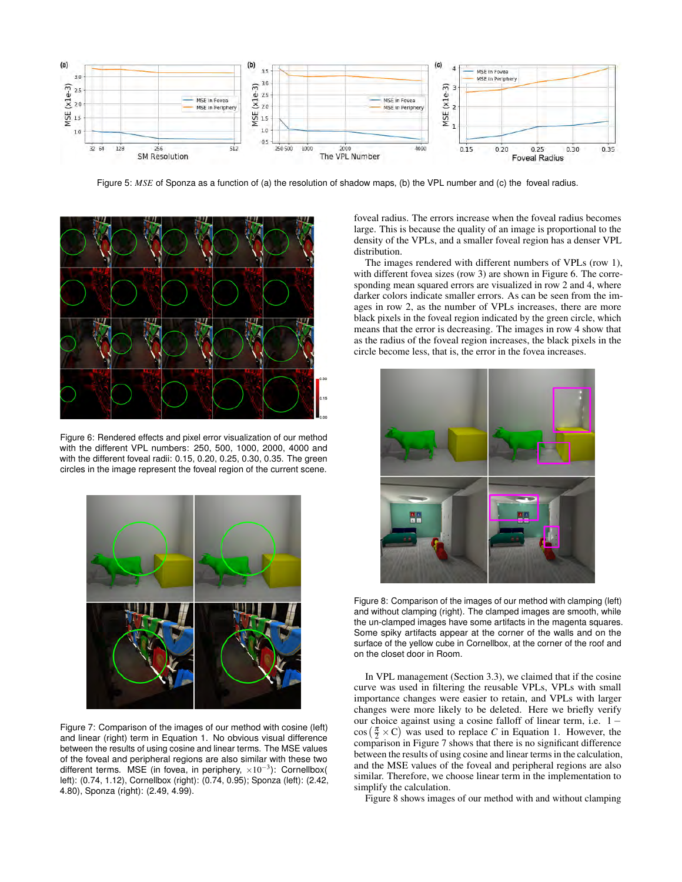

<span id="page-7-0"></span>Figure 5: MSE of Sponza as a function of (a) the resolution of shadow maps, (b) the VPL number and (c) the foveal radius.



<span id="page-7-1"></span>Figure 6: Rendered effects and pixel error visualization of our method with the different VPL numbers: 250, 500, 1000, 2000, 4000 and with the different foveal radii: 0.15, 0.20, 0.25, 0.30, 0.35. The green circles in the image represent the foveal region of the current scene.



<span id="page-7-2"></span>Figure 7: Comparison of the images of our method with cosine (left) and linear (right) term in Equation [1.](#page-3-3) No obvious visual difference between the results of using cosine and linear terms. The MSE values of the foveal and peripheral regions are also similar with these two different terms. MSE (in fovea, in periphery,  $\times 10^{-3}$ ): Cornellbox( left): (0.74, 1.12), Cornellbox (right): (0.74, 0.95); Sponza (left): (2.42, 4.80), Sponza (right): (2.49, 4.99).

foveal radius. The errors increase when the foveal radius becomes large. This is because the quality of an image is proportional to the density of the VPLs, and a smaller foveal region has a denser VPL distribution.

The images rendered with different numbers of VPLs (row 1), with different fovea sizes (row 3) are shown in Figure [6.](#page-7-1) The corresponding mean squared errors are visualized in row 2 and 4, where darker colors indicate smaller errors. As can be seen from the images in row 2, as the number of VPLs increases, there are more black pixels in the foveal region indicated by the green circle, which means that the error is decreasing. The images in row 4 show that as the radius of the foveal region increases, the black pixels in the circle become less, that is, the error in the fovea increases.



<span id="page-7-3"></span>Figure 8: Comparison of the images of our method with clamping (left) and without clamping (right). The clamped images are smooth, while the un-clamped images have some artifacts in the magenta squares. Some spiky artifacts appear at the corner of the walls and on the surface of the yellow cube in Cornellbox, at the corner of the roof and on the closet door in Room.

In VPL management (Section [3.3\)](#page-3-1), we claimed that if the cosine curve was used in filtering the reusable VPLs, VPLs with small importance changes were easier to retain, and VPLs with larger changes were more likely to be deleted. Here we briefly verify our choice against using a cosine falloff of linear term, i.e. 1 −  $\cos\left(\frac{\pi}{2} \times C\right)$  was used to replace *C* in Equation [1.](#page-3-3) However, the comparison in Figure [7](#page-7-2) shows that there is no significant difference between the results of using cosine and linear terms in the calculation, and the MSE values of the foveal and peripheral regions are also similar. Therefore, we choose linear term in the implementation to simplify the calculation.

Figure [8](#page-7-3) shows images of our method with and without clamping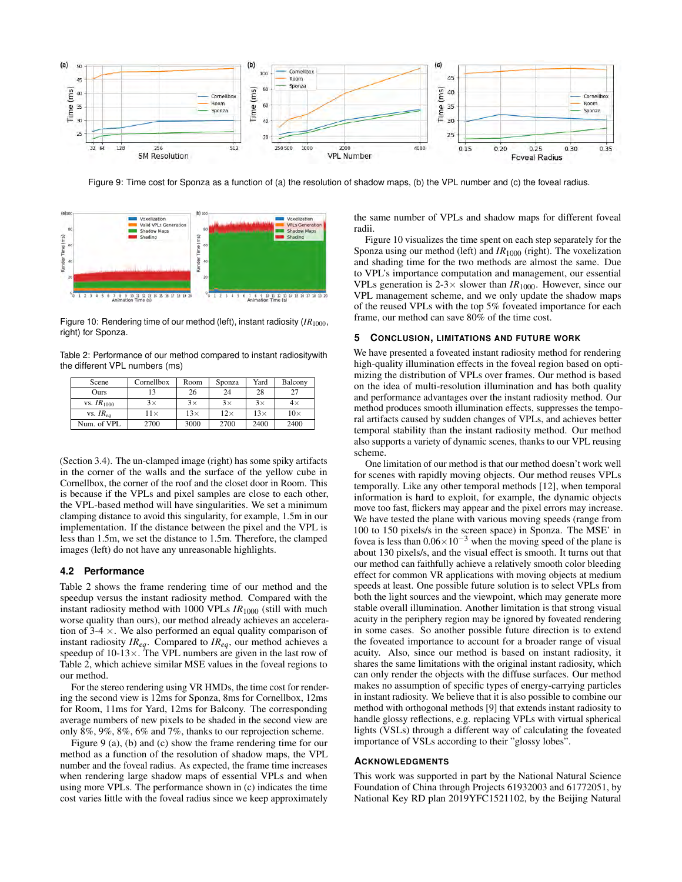

<span id="page-8-1"></span>Figure 9: Time cost for Sponza as a function of (a) the resolution of shadow maps, (b) the VPL number and (c) the foveal radius.



<span id="page-8-2"></span>Figure 10: Rendering time of our method (left), instant radiosity (*IR*<sub>1000</sub>, right) for Sponza.

Table 2: Performance of our method compared to instant radiositywith the different VPL numbers (ms)

<span id="page-8-0"></span>

| Scene           | Cornellbox  | Room       | Sponza     | Yard       | Balcony    |
|-----------------|-------------|------------|------------|------------|------------|
| Ours            |             | 26         | 24         | 28         | 27         |
| vs. $IR_{1000}$ | $3\times$   | $3\times$  | $3\times$  | $3\times$  | $4\times$  |
| vs. $IR_{ea}$   | $11 \times$ | $13\times$ | $12\times$ | $13\times$ | $10\times$ |
| Num. of VPL     | 2700        | 3000       | 2700       | 2400       | 2400       |

(Section [3.4\)](#page-4-0). The un-clamped image (right) has some spiky artifacts in the corner of the walls and the surface of the yellow cube in Cornellbox, the corner of the roof and the closet door in Room. This is because if the VPLs and pixel samples are close to each other, the VPL-based method will have singularities. We set a minimum clamping distance to avoid this singularity, for example, 1.5m in our implementation. If the distance between the pixel and the VPL is less than 1.5m, we set the distance to 1.5m. Therefore, the clamped images (left) do not have any unreasonable highlights.

# **4.2 Performance**

Table [2](#page-8-0) shows the frame rendering time of our method and the speedup versus the instant radiosity method. Compared with the instant radiosity method with 1000 VPLs  $IR<sub>1000</sub>$  (still with much worse quality than ours), our method already achieves an acceleration of 3-4  $\times$ . We also performed an equal quality comparison of instant radiosity *IReq*. Compared to *IReq*, our method achieves a speedup of  $10-13 \times$ . The VPL numbers are given in the last row of Table [2,](#page-8-0) which achieve similar MSE values in the foveal regions to our method.

For the stereo rendering using VR HMDs, the time cost for rendering the second view is 12ms for Sponza, 8ms for Cornellbox, 12ms for Room, 11ms for Yard, 12ms for Balcony. The corresponding average numbers of new pixels to be shaded in the second view are only 8%, 9%, 8%, 6% and 7%, thanks to our reprojection scheme.

Figure [9](#page-8-1) (a), (b) and (c) show the frame rendering time for our method as a function of the resolution of shadow maps, the VPL number and the foveal radius. As expected, the frame time increases when rendering large shadow maps of essential VPLs and when using more VPLs. The performance shown in (c) indicates the time cost varies little with the foveal radius since we keep approximately the same number of VPLs and shadow maps for different foveal radii.

Figure [10](#page-8-2) visualizes the time spent on each step separately for the Sponza using our method (left) and *IR*<sup>1000</sup> (right). The voxelization and shading time for the two methods are almost the same. Due to VPL's importance computation and management, our essential VPLs generation is  $2-3 \times$  slower than  $IR_{1000}$ . However, since our VPL management scheme, and we only update the shadow maps of the reused VPLs with the top 5% foveated importance for each frame, our method can save 80% of the time cost.

#### **5 CONCLUSION, LIMITATIONS AND FUTURE WORK**

We have presented a foveated instant radiosity method for rendering high-quality illumination effects in the foveal region based on optimizing the distribution of VPLs over frames. Our method is based on the idea of multi-resolution illumination and has both quality and performance advantages over the instant radiosity method. Our method produces smooth illumination effects, suppresses the temporal artifacts caused by sudden changes of VPLs, and achieves better temporal stability than the instant radiosity method. Our method also supports a variety of dynamic scenes, thanks to our VPL reusing scheme.

One limitation of our method is that our method doesn't work well for scenes with rapidly moving objects. Our method reuses VPLs temporally. Like any other temporal methods [\[12\]](#page-9-27), when temporal information is hard to exploit, for example, the dynamic objects move too fast, flickers may appear and the pixel errors may increase. We have tested the plane with various moving speeds (range from 100 to 150 pixels/s in the screen space) in Sponza. The MSE' in fovea is less than  $0.06 \times 10^{-3}$  when the moving speed of the plane is about 130 pixels/s, and the visual effect is smooth. It turns out that our method can faithfully achieve a relatively smooth color bleeding effect for common VR applications with moving objects at medium speeds at least. One possible future solution is to select VPLs from both the light sources and the viewpoint, which may generate more stable overall illumination. Another limitation is that strong visual acuity in the periphery region may be ignored by foveated rendering in some cases. So another possible future direction is to extend the foveated importance to account for a broader range of visual acuity. Also, since our method is based on instant radiosity, it shares the same limitations with the original instant radiosity, which can only render the objects with the diffuse surfaces. Our method makes no assumption of specific types of energy-carrying particles in instant radiosity. We believe that it is also possible to combine our method with orthogonal methods [\[9\]](#page-9-42) that extends instant radiosity to handle glossy reflections, e.g. replacing VPLs with virtual spherical lights (VSLs) through a different way of calculating the foveated importance of VSLs according to their "glossy lobes".

#### **ACKNOWLEDGMENTS**

This work was supported in part by the National Natural Science Foundation of China through Projects 61932003 and 61772051, by National Key RD plan 2019YFC1521102, by the Beijing Natural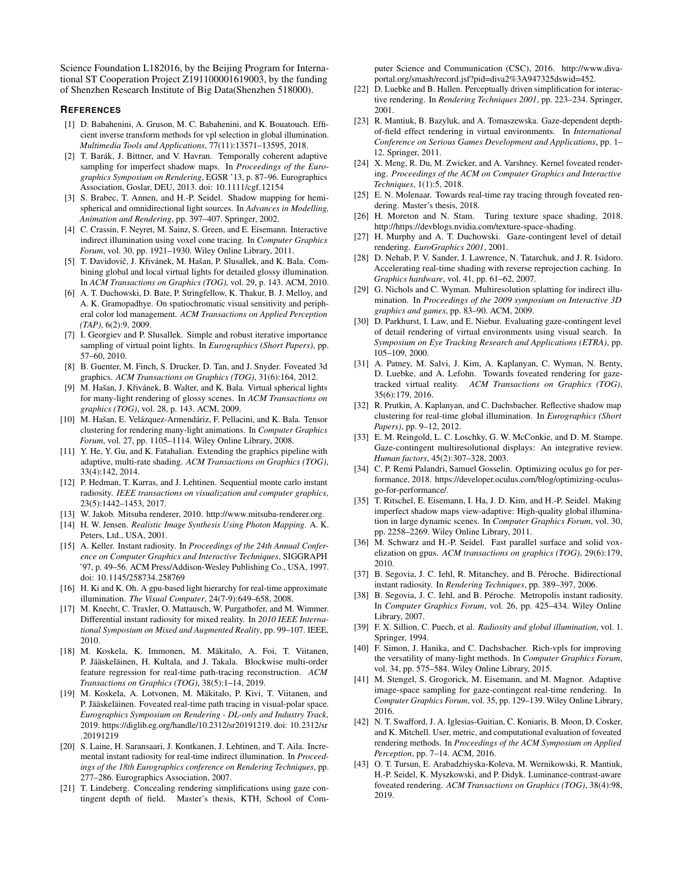Science Foundation L182016, by the Beijing Program for International ST Cooperation Project Z191100001619003, by the funding of Shenzhen Research Institute of Big Data(Shenzhen 518000).

## **REFERENCES**

- <span id="page-9-37"></span>[1] D. Babahenini, A. Gruson, M. C. Babahenini, and K. Bouatouch. Efficient inverse transform methods for vpl selection in global illumination. *Multimedia Tools and Applications*, 77(11):13571–13595, 2018.
- <span id="page-9-34"></span>[2] T. Barák, J. Bittner, and V. Havran. Temporally coherent adaptive sampling for imperfect shadow maps. In *Proceedings of the Eurographics Symposium on Rendering*, EGSR '13, p. 87–96. Eurographics Association, Goslar, DEU, 2013. doi: 10.1111/cgf.12154
- <span id="page-9-38"></span>[3] S. Brabec, T. Annen, and H.-P. Seidel. Shadow mapping for hemispherical and omnidirectional light sources. In *Advances in Modelling, Animation and Rendering*, pp. 397–407. Springer, 2002.
- <span id="page-9-36"></span>[4] C. Crassin, F. Neyret, M. Sainz, S. Green, and E. Eisemann. Interactive indirect illumination using voxel cone tracing. In *Computer Graphics Forum*, vol. 30, pp. 1921–1930. Wiley Online Library, 2011.
- <span id="page-9-20"></span>[5] T. Davidovič, J. Křivánek, M. Hašan, P. Slusallek, and K. Bala. Combining global and local virtual lights for detailed glossy illumination. In *ACM Transactions on Graphics (TOG)*, vol. 29, p. 143. ACM, 2010.
- <span id="page-9-19"></span>[6] A. T. Duchowski, D. Bate, P. Stringfellow, K. Thakur, B. J. Melloy, and A. K. Gramopadhye. On spatiochromatic visual sensitivity and peripheral color lod management. *ACM Transactions on Applied Perception (TAP)*, 6(2):9, 2009.
- <span id="page-9-21"></span>[7] I. Georgiev and P. Slusallek. Simple and robust iterative importance sampling of virtual point lights. In *Eurographics (Short Papers)*, pp. 57–60, 2010.
- <span id="page-9-0"></span>[8] B. Guenter, M. Finch, S. Drucker, D. Tan, and J. Snyder. Foveated 3d graphics. *ACM Transactions on Graphics (TOG)*, 31(6):164, 2012.
- <span id="page-9-42"></span>[9] M. Hašan, J. Křivánek, B. Walter, and K. Bala. Virtual spherical lights for many-light rendering of glossy scenes. In *ACM Transactions on graphics (TOG)*, vol. 28, p. 143. ACM, 2009.
- <span id="page-9-30"></span>[10] M. Hašan, E. Velázquez-Armendáriz, F. Pellacini, and K. Bala. Tensor clustering for rendering many-light animations. In *Computer Graphics Forum*, vol. 27, pp. 1105–1114. Wiley Online Library, 2008.
- <span id="page-9-13"></span>[11] Y. He, Y. Gu, and K. Fatahalian. Extending the graphics pipeline with adaptive, multi-rate shading. *ACM Transactions on Graphics (TOG)*, 33(4):142, 2014.
- <span id="page-9-27"></span>[12] P. Hedman, T. Karras, and J. Lehtinen. Sequential monte carlo instant radiosity. *IEEE transactions on visualization and computer graphics*, 23(5):1442–1453, 2017.
- <span id="page-9-41"></span>[13] W. Jakob. Mitsuba renderer, 2010. http://www.mitsuba-renderer.org.
- <span id="page-9-22"></span>[14] H. W. Jensen. *Realistic Image Synthesis Using Photon Mapping*. A. K. Peters, Ltd., USA, 2001.
- <span id="page-9-4"></span>[15] A. Keller. Instant radiosity. In *Proceedings of the 24th Annual Conference on Computer Graphics and Interactive Techniques*, SIGGRAPH '97, p. 49–56. ACM Press/Addison-Wesley Publishing Co., USA, 1997. doi: 10.1145/258734.258769
- <span id="page-9-29"></span>[16] H. Ki and K. Oh. A gpu-based light hierarchy for real-time approximate illumination. *The Visual Computer*, 24(7-9):649–658, 2008.
- <span id="page-9-32"></span>[17] M. Knecht, C. Traxler, O. Mattausch, W. Purgathofer, and M. Wimmer. Differential instant radiosity for mixed reality. In *2010 IEEE International Symposium on Mixed and Augmented Reality*, pp. 99–107. IEEE, 2010.
- <span id="page-9-18"></span>[18] M. Koskela, K. Immonen, M. Mäkitalo, A. Foi, T. Viitanen, P. Jääskeläinen, H. Kultala, and J. Takala. Blockwise multi-order feature regression for real-time path-tracing reconstruction. *ACM Transactions on Graphics (TOG)*, 38(5):1–14, 2019.
- <span id="page-9-14"></span>[19] M. Koskela, A. Lotvonen, M. Makitalo, P. Kivi, T. Viitanen, and ¨ P. Jääskeläinen. Foveated real-time path tracing in visual-polar space. *Eurographics Symposium on Rendering - DL-only and Industry Track*, 2019. https://diglib.eg.org/handle/10.2312/sr20191219. doi: 10.2312/sr .20191219
- <span id="page-9-28"></span>[20] S. Laine, H. Saransaari, J. Kontkanen, J. Lehtinen, and T. Aila. Incremental instant radiosity for real-time indirect illumination. In *Proceedings of the 18th Eurographics conference on Rendering Techniques*, pp. 277–286. Eurographics Association, 2007.
- <span id="page-9-5"></span>[21] T. Lindeberg. Concealing rendering simplifications using gaze contingent depth of field. Master's thesis, KTH, School of Com-

puter Science and Communication (CSC), 2016. http://www.divaportal.org/smash/record.jsf?pid=diva2%3A947325dswid=452.

- <span id="page-9-6"></span>[22] D. Luebke and B. Hallen. Perceptually driven simplification for interactive rendering. In *Rendering Techniques 2001*, pp. 223–234. Springer, 2001.
- <span id="page-9-15"></span>[23] R. Mantiuk, B. Bazyluk, and A. Tomaszewska. Gaze-dependent depthof-field effect rendering in virtual environments. In *International Conference on Serious Games Development and Applications*, pp. 1– 12. Springer, 2011.
- <span id="page-9-12"></span>[24] X. Meng, R. Du, M. Zwicker, and A. Varshney. Kernel foveated rendering. *Proceedings of the ACM on Computer Graphics and Interactive Techniques*, 1(1):5, 2018.
- <span id="page-9-16"></span>[25] E. N. Molenaar. Towards real-time ray tracing through foveated rendering. Master's thesis, 2018.
- <span id="page-9-40"></span>[26] H. Moreton and N. Stam. Turing texture space shading, 2018. http://https://devblogs.nvidia.com/texture-space-shading.
- <span id="page-9-7"></span>[27] H. Murphy and A. T. Duchowski. Gaze-contingent level of detail rendering. *EuroGraphics 2001*, 2001.
- <span id="page-9-39"></span>[28] D. Nehab, P. V. Sander, J. Lawrence, N. Tatarchuk, and J. R. Isidoro. Accelerating real-time shading with reverse reprojection caching. In *Graphics hardware*, vol. 41, pp. 61–62, 2007.
- <span id="page-9-31"></span>[29] G. Nichols and C. Wyman. Multiresolution splatting for indirect illumination. In *Proceedings of the 2009 symposium on Interactive 3D graphics and games*, pp. 83–90. ACM, 2009.
- <span id="page-9-8"></span>[30] D. Parkhurst, I. Law, and E. Niebur. Evaluating gaze-contingent level of detail rendering of virtual environments using visual search. In *Symposium on Eye Tracking Research and Applications (ETRA)*, pp. 105–109, 2000.
- <span id="page-9-9"></span>[31] A. Patney, M. Salvi, J. Kim, A. Kaplanyan, C. Wyman, N. Benty, D. Luebke, and A. Lefohn. Towards foveated rendering for gazetracked virtual reality. *ACM Transactions on Graphics (TOG)*, 35(6):179, 2016.
- <span id="page-9-33"></span>[32] R. Prutkin, A. Kaplanyan, and C. Dachsbacher. Reflective shadow map clustering for real-time global illumination. In *Eurographics (Short Papers)*, pp. 9–12, 2012.
- <span id="page-9-1"></span>[33] E. M. Reingold, L. C. Loschky, G. W. McConkie, and D. M. Stampe. Gaze-contingent multiresolutional displays: An integrative review. *Human factors*, 45(2):307–328, 2003.
- <span id="page-9-2"></span>[34] C. P. Remi Palandri, Samuel Gosselin. Optimizing oculus go for performance, 2018. https://developer.oculus.com/blog/optimizing-oculusgo-for-performance/.
- <span id="page-9-23"></span>[35] T. Ritschel, E. Eisemann, I. Ha, J. D. Kim, and H.-P. Seidel. Making imperfect shadow maps view-adaptive: High-quality global illumination in large dynamic scenes. In *Computer Graphics Forum*, vol. 30, pp. 2258–2269. Wiley Online Library, 2011.
- <span id="page-9-35"></span>[36] M. Schwarz and H.-P. Seidel. Fast parallel surface and solid voxelization on gpus. *ACM transactions on graphics (TOG)*, 29(6):179, 2010.
- <span id="page-9-24"></span>[37] B. Segovia, J. C. Iehl, R. Mitanchey, and B. Péroche. Bidirectional instant radiosity. In *Rendering Techniques*, pp. 389–397, 2006.
- <span id="page-9-25"></span>[38] B. Segovia, J. C. Iehl, and B. Péroche. Metropolis instant radiosity. In *Computer Graphics Forum*, vol. 26, pp. 425–434. Wiley Online Library, 2007.
- <span id="page-9-3"></span>[39] F. X. Sillion, C. Puech, et al. *Radiosity and global illumination*, vol. 1. Springer, 1994.
- <span id="page-9-26"></span>[40] F. Simon, J. Hanika, and C. Dachsbacher. Rich-vpls for improving the versatility of many-light methods. In *Computer Graphics Forum*, vol. 34, pp. 575–584. Wiley Online Library, 2015.
- <span id="page-9-10"></span>[41] M. Stengel, S. Grogorick, M. Eisemann, and M. Magnor. Adaptive image-space sampling for gaze-contingent real-time rendering. In *Computer Graphics Forum*, vol. 35, pp. 129–139. Wiley Online Library, 2016.
- <span id="page-9-17"></span>[42] N. T. Swafford, J. A. Iglesias-Guitian, C. Koniaris, B. Moon, D. Cosker, and K. Mitchell. User, metric, and computational evaluation of foveated rendering methods. In *Proceedings of the ACM Symposium on Applied Perception*, pp. 7–14. ACM, 2016.
- <span id="page-9-11"></span>[43] O. T. Tursun, E. Arabadzhiyska-Koleva, M. Wernikowski, R. Mantiuk, H.-P. Seidel, K. Myszkowski, and P. Didyk. Luminance-contrast-aware foveated rendering. *ACM Transactions on Graphics (TOG)*, 38(4):98, 2019.